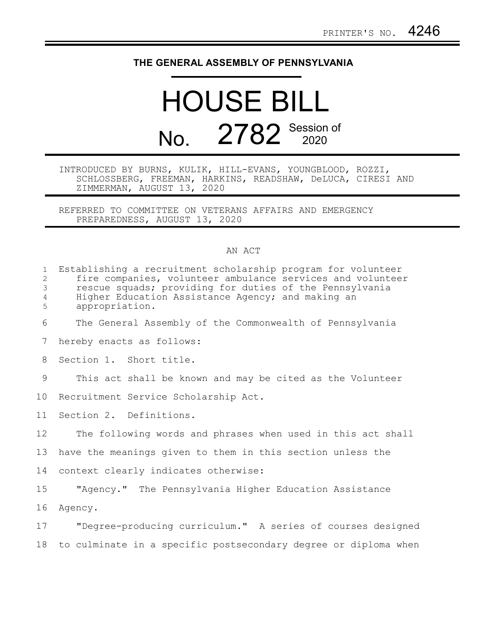## **THE GENERAL ASSEMBLY OF PENNSYLVANIA**

## HOUSE BILL No. 2782 Session of

## INTRODUCED BY BURNS, KULIK, HILL-EVANS, YOUNGBLOOD, ROZZI, SCHLOSSBERG, FREEMAN, HARKINS, READSHAW, DeLUCA, CIRESI AND ZIMMERMAN, AUGUST 13, 2020

REFERRED TO COMMITTEE ON VETERANS AFFAIRS AND EMERGENCY PREPAREDNESS, AUGUST 13, 2020

## AN ACT

| $\mathbf{1}$<br>$\mathbf{2}$<br>$\mathfrak{Z}$<br>$\overline{4}$<br>5 | Establishing a recruitment scholarship program for volunteer<br>fire companies, volunteer ambulance services and volunteer<br>rescue squads; providing for duties of the Pennsylvania<br>Higher Education Assistance Agency; and making an<br>appropriation. |
|-----------------------------------------------------------------------|--------------------------------------------------------------------------------------------------------------------------------------------------------------------------------------------------------------------------------------------------------------|
| 6                                                                     | The General Assembly of the Commonwealth of Pennsylvania                                                                                                                                                                                                     |
| 7                                                                     | hereby enacts as follows:                                                                                                                                                                                                                                    |
| 8                                                                     | Section 1. Short title.                                                                                                                                                                                                                                      |
| 9                                                                     | This act shall be known and may be cited as the Volunteer                                                                                                                                                                                                    |
| 10                                                                    | Recruitment Service Scholarship Act.                                                                                                                                                                                                                         |
| 11                                                                    | Section 2. Definitions.                                                                                                                                                                                                                                      |
| 12                                                                    | The following words and phrases when used in this act shall                                                                                                                                                                                                  |
| 13                                                                    | have the meanings given to them in this section unless the                                                                                                                                                                                                   |
| 14                                                                    | context clearly indicates otherwise:                                                                                                                                                                                                                         |
| 15                                                                    | "Agency." The Pennsylvania Higher Education Assistance                                                                                                                                                                                                       |
| 16                                                                    | Agency.                                                                                                                                                                                                                                                      |
| 17                                                                    | "Degree-producing curriculum." A series of courses designed                                                                                                                                                                                                  |
| 18                                                                    | to culminate in a specific postsecondary degree or diploma when                                                                                                                                                                                              |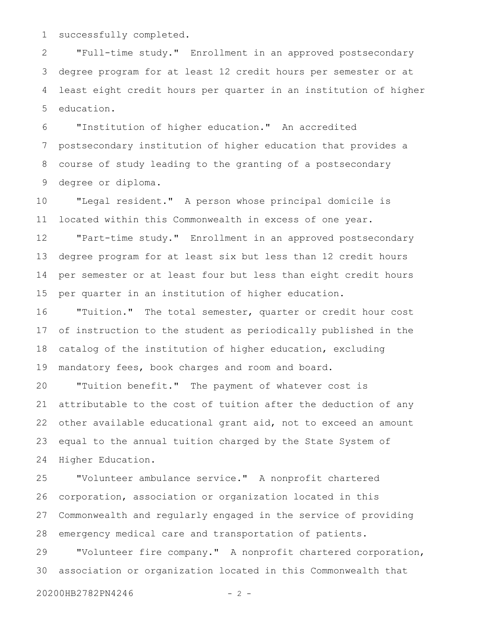successfully completed. 1

"Full-time study." Enrollment in an approved postsecondary degree program for at least 12 credit hours per semester or at least eight credit hours per quarter in an institution of higher education. 2 3 4 5

"Institution of higher education." An accredited postsecondary institution of higher education that provides a course of study leading to the granting of a postsecondary degree or diploma. 6 7 8 9

"Legal resident." A person whose principal domicile is located within this Commonwealth in excess of one year. 10 11

"Part-time study." Enrollment in an approved postsecondary degree program for at least six but less than 12 credit hours per semester or at least four but less than eight credit hours per quarter in an institution of higher education. 12 13 14 15

"Tuition." The total semester, quarter or credit hour cost of instruction to the student as periodically published in the catalog of the institution of higher education, excluding mandatory fees, book charges and room and board. 16 17 18 19

"Tuition benefit." The payment of whatever cost is attributable to the cost of tuition after the deduction of any other available educational grant aid, not to exceed an amount equal to the annual tuition charged by the State System of Higher Education. 20 21 22 23 24

"Volunteer ambulance service." A nonprofit chartered corporation, association or organization located in this Commonwealth and regularly engaged in the service of providing emergency medical care and transportation of patients. 25 26 27 28

"Volunteer fire company." A nonprofit chartered corporation, association or organization located in this Commonwealth that 29 30

20200HB2782PN4246 - 2 -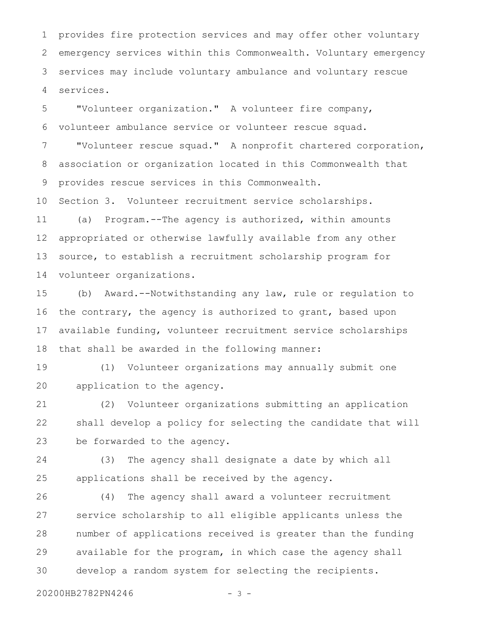provides fire protection services and may offer other voluntary emergency services within this Commonwealth. Voluntary emergency services may include voluntary ambulance and voluntary rescue services. 1 2 3 4

"Volunteer organization." A volunteer fire company, volunteer ambulance service or volunteer rescue squad. "Volunteer rescue squad." A nonprofit chartered corporation, association or organization located in this Commonwealth that provides rescue services in this Commonwealth. 5 6 7 8 9

Section 3. Volunteer recruitment service scholarships. (a) Program.--The agency is authorized, within amounts appropriated or otherwise lawfully available from any other source, to establish a recruitment scholarship program for volunteer organizations. 10 11 12 13 14

(b) Award.--Notwithstanding any law, rule or regulation to the contrary, the agency is authorized to grant, based upon available funding, volunteer recruitment service scholarships that shall be awarded in the following manner: 15 16 17 18

(1) Volunteer organizations may annually submit one application to the agency. 19 20

(2) Volunteer organizations submitting an application shall develop a policy for selecting the candidate that will be forwarded to the agency. 21 22 23

(3) The agency shall designate a date by which all applications shall be received by the agency. 24 25

(4) The agency shall award a volunteer recruitment service scholarship to all eligible applicants unless the number of applications received is greater than the funding available for the program, in which case the agency shall develop a random system for selecting the recipients. 26 27 28 29 30

20200HB2782PN4246 - 3 -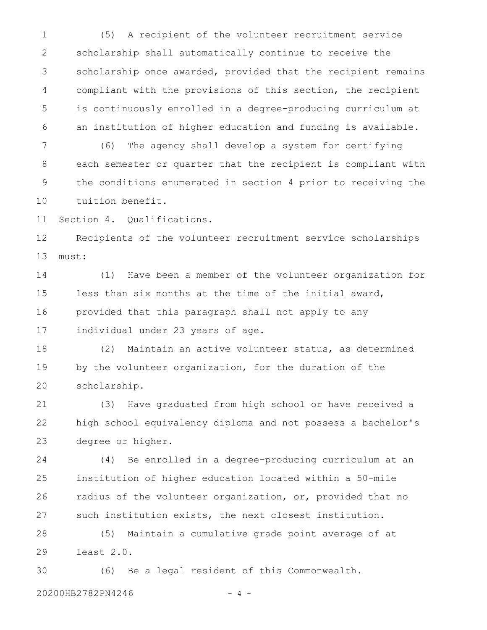(5) A recipient of the volunteer recruitment service scholarship shall automatically continue to receive the scholarship once awarded, provided that the recipient remains compliant with the provisions of this section, the recipient is continuously enrolled in a degree-producing curriculum at an institution of higher education and funding is available. 1 2 3 4 5 6

(6) The agency shall develop a system for certifying each semester or quarter that the recipient is compliant with the conditions enumerated in section 4 prior to receiving the tuition benefit. 7 8 9 10

Section 4. Qualifications. 11

Recipients of the volunteer recruitment service scholarships must: 12 13

(1) Have been a member of the volunteer organization for less than six months at the time of the initial award, provided that this paragraph shall not apply to any individual under 23 years of age. 14 15 16 17

(2) Maintain an active volunteer status, as determined by the volunteer organization, for the duration of the scholarship. 18 19 20

(3) Have graduated from high school or have received a high school equivalency diploma and not possess a bachelor's degree or higher. 21 22 23

(4) Be enrolled in a degree-producing curriculum at an institution of higher education located within a 50-mile radius of the volunteer organization, or, provided that no such institution exists, the next closest institution. 24 25 26 27

(5) Maintain a cumulative grade point average of at least 2.0. 28 29

(6) Be a legal resident of this Commonwealth. 30

20200HB2782PN4246 - 4 -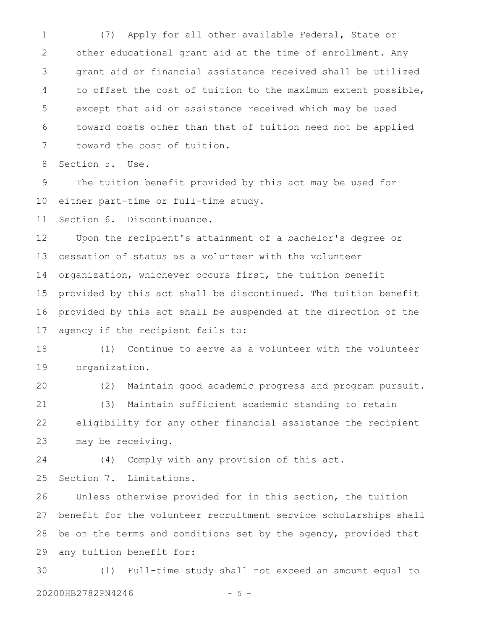(7) Apply for all other available Federal, State or other educational grant aid at the time of enrollment. Any grant aid or financial assistance received shall be utilized to offset the cost of tuition to the maximum extent possible, except that aid or assistance received which may be used toward costs other than that of tuition need not be applied toward the cost of tuition. 1 2 3 4 5 6 7

Section 5. Use. 8

The tuition benefit provided by this act may be used for either part-time or full-time study. 9 10

Section 6. Discontinuance. 11

Upon the recipient's attainment of a bachelor's degree or cessation of status as a volunteer with the volunteer organization, whichever occurs first, the tuition benefit provided by this act shall be discontinued. The tuition benefit provided by this act shall be suspended at the direction of the agency if the recipient fails to: 12 13 14 15 16 17

(1) Continue to serve as a volunteer with the volunteer organization. 18 19

(2) Maintain good academic progress and program pursuit. 20

(3) Maintain sufficient academic standing to retain eligibility for any other financial assistance the recipient may be receiving. 21 22 23

(4) Comply with any provision of this act. 24

Section 7. Limitations. 25

Unless otherwise provided for in this section, the tuition benefit for the volunteer recruitment service scholarships shall be on the terms and conditions set by the agency, provided that any tuition benefit for: 26 27 28 29

(1) Full-time study shall not exceed an amount equal to 20200HB2782PN4246 - 5 -30